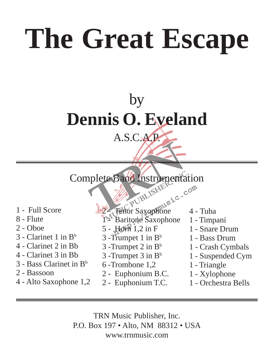# **The Great Escape**

### by **Dennis O. Eveland** A.S.C.A.P.

## Complete Band Instrumentation

- 1 Full Score
- 8 Flute
- 2 Oboe
- $3$  Clarinet 1 in  $B<sup>b</sup>$
- 4 Clarinet 2 in Bb
- 4 Clarinet 3 in Bb
- 3 Bass Clarinet in Bb
- 2 Bassoon
- 4 Alto Saxophone 1,2
- Tenor Saxophone
- Baritone Saxophone
- 5 Horn 1,2 in F
- $3$ -Trumpet 1 in  $B^b$
- $3$ -Trumpet 2 in  $B<sup>b</sup>$
- $3$ -Trumpet 3 in  $B<sup>b</sup>$
- 6 -Trombone 1,2
- 2 Euphonium B.C.
- 2 Euphonium T.C.
- 4 Tuba
- 1 Timpani
- 1 Snare Drum
- 1 Bass Drum
- 1 Crash Cymbals
- 1 Suspended Cym
- 1 Triangle
- 1 Xylophone
- 1 Orchestra Bells

TRN Music Publisher, Inc. P.O. Box 197 • Alto, NM 88312 • USA www.trnmusic.com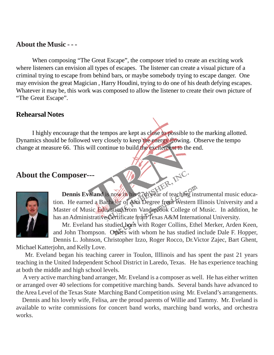#### **About the Music - - -**

When composing "The Great Escape", the composer tried to create an exciting work where listeners can envision all types of escapes. The listener can create a visual picture of a criminal trying to escape from behind bars, or maybe somebody trying to escape danger. One may envision the great Magician , Harry Houdini, trying to do one of his death defying escapes. Whatever it may be, this work was composed to allow the listener to create their own picture of "The Great Escape".

#### **Rehearsal Notes**

I highly encourage that the tempos are kept as close to possible to the marking allotted. Dynamics should be followed very closely to keep the energy flowing. Observe the tempo change at measure 66. This will continue to build the excitement to the end.

#### **About the Composer---**



**Dennis Eveland is now in his 27th year of teaching instrumental music educa**tion. He earned a Bachelor of Arts Degree from Western Illinois University and a Master of Music Education from Vandercook College of Music. In addition, he has an Administrative Certificate from Texas A&M International University.

Mr. Eveland has studied horn with Roger Collins, Ethel Merker, Arden Keen, and John Thompson. Others with whom he has studied include Dale F. Hopper, Dennis L. Johnson, Christopher Izzo, Roger Rocco, Dr.Victor Zajec, Bart Ghent,

Michael Katterjohn, and Kelly Love.

 Mr. Eveland began his teaching career in Toulon, Illlinois and has spent the past 21 years teaching in the United Independent School District in Laredo, Texas. He has experience teaching at both the middle and high school levels.

 A very active marching band arranger, Mr. Eveland is a composer as well. He has either written or arranged over 40 selections for competitive marching bands. Several bands have advanced to the Area Level of the Texas State Marching Band Competition using Mr. Eveland's arrangements.

 Dennis and his lovely wife, Felisa, are the proud parents of Willie and Tammy. Mr. Eveland is available to write commissions for concert band works, marching band works, and orchestra works.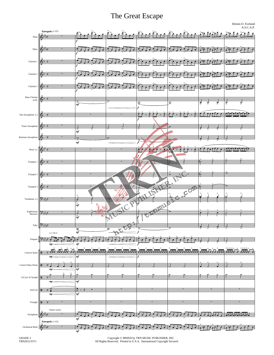The Great Escape

Dennis O. Eveland A.S.C.A.P.

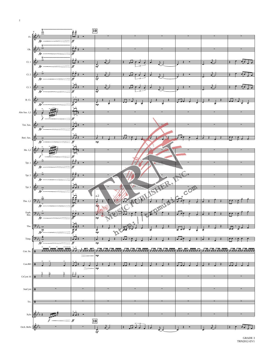

GRADE 3 TRN2012-EV1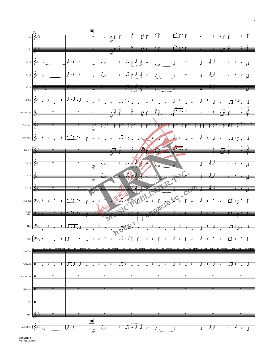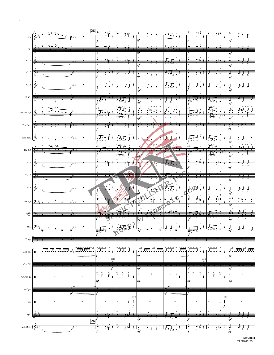

GRADE 3 TRN2012-EV1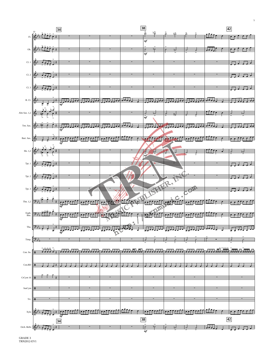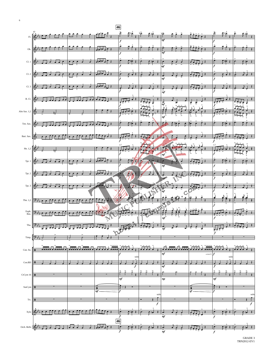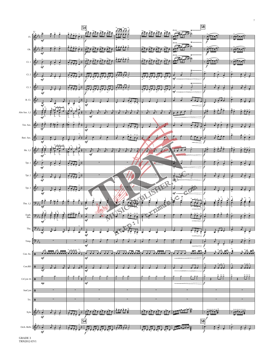

TRN2012-EV1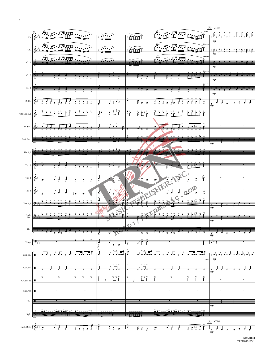

GRADE 3 TRN2012-EV1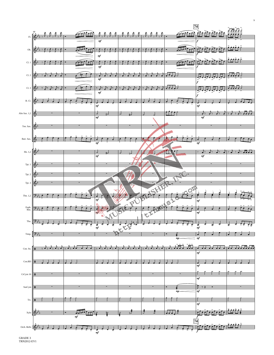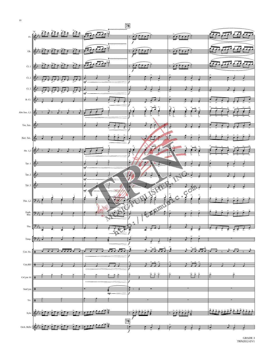

GRADE 3 TRN2012-EV1